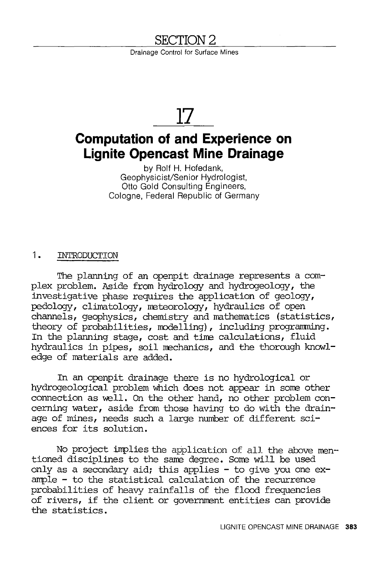## **SECTION2**

Drainage Control for Surface Mines

# **17**

## **Computation of and Experience on Lignite Opencast Mine Drainage**

by Rolf H. Hofedank, Geophysicist/Senior Hydrologist, Otto Gold Consulting Engineers, Cologne, Federal Republic of Germany

#### 1. INTRODUCTION

The planning of an openpit drainage represents a complex problem. Aside from hydrology and hydrogeology, the investigative phase requires the application of geology, pedology, climatology, meteorology, hydraulics of open channels, geophysics, chemistry and mathematics (statistics, theory of probabilities, modelling), including programming. In the planning stage, cost and time calculations, fluid hydraulics in pipes, soil mechanics, and the thorough knowledge of materials are added.

In an openpit drainage there is no hydrological or hydrogeological problem which does not appear in some other connection as well. On the other hand, no other problem  $con$ cerning water, aside from those having to do with the drainage of mines, needs such a large number of different sciences for its solution.

No project implies the application of all the above mentioned disciplines to the same degree. Some will be used only as a secondary aid; this applies  $-$  to give you one  $ex$ ample - to the statistical calculation of the recurrence probabilities of heavy rainfalls of the flood frequencies of rivers, if the client or government entities can provide the statistics.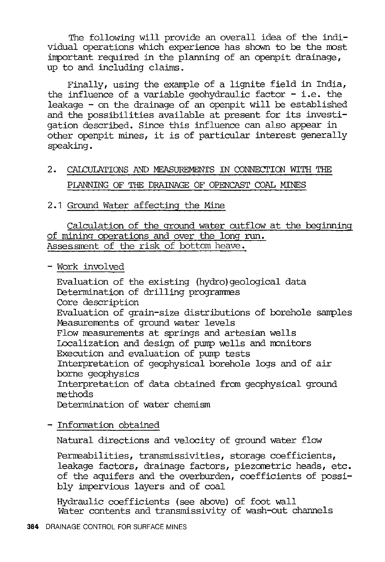The following will provide an overall idea of the individual operations which experience has shown to be the most inportant required in the planning of an openpit drainage, up to and including claims.

Finally, using the example of a lignite field in India, the influence of a variable geohydraulic factor  $-$  i.e. the leakage - on the drainage of an openpit will be established and the possibilities available at present for its investigation described. Since this influence can also appear in other openpit mines, it is of particular interest generally speaking.

- 2. CALCULATIONS NID MEASUREMENTS IN CONNECI'IOO WITH THE PLANNING OF THE DRAINAGE OF OPENCAST COAL MINES
- 2. 1 Ground Water affecting the Mine

Calculation of the ground water outflow at the beginning of mining operations and over the long run. Assessment of the risk of bottom heave.

- Work involved

Evaluation of the existing (hydro) geological data Determination of drilling programmes Core description Evaluation of grain-size distributions of borehole samples Measurements of ground water levels Flow measurements at springs and artesian wells Localization and design of pump wells and monitors Execution and evaluation of purrp tests Interpretation of geophysical borehole logs and of air borne geophysics Interpretation of data obtained from geophysical ground methods Determination of water chemism

- Information obtained

Natural directions and velocity of ground water flow

Permeabilities, transmissivities, storage coefficients, leakage factors, drainage factors, piezometric heads, etc. of the aquifers and the overburden, coefficients of possibly impervious layers and of coal

Hydraulic coefficients (see above) of foot wall Water contents and transmissivity of wash-out channels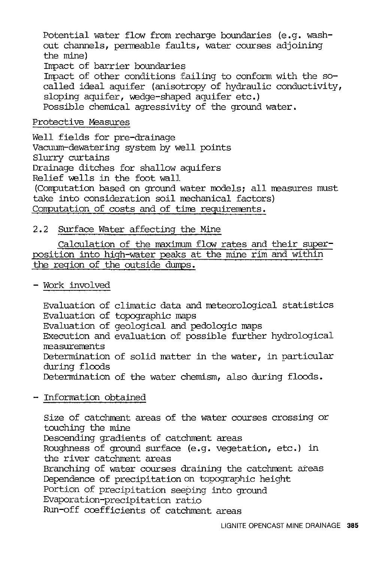Potential water flow from recharge boundaries (e.g. washout channels, permeable faults, water courses adjoining the mine)

Impact of barrier boundaries

Impact of other conditions failing to conform with the socalled ideal aquifer (anisotropy of hydraulic conductivity, sloping aquifer, wedge-shaped aquifer etc.) Possible chemical agressivity of the ground water.

#### Protective Measures

Well fields for pre-drainage Vacuum-dewatering system by well points Slurry curtains Drainage ditches for shallow aquifers Relief wells in the foot wall (Computation based on ground water models; all measures must take into consideration soil mechanical factors) Computation of costs and of time requirements.

#### 2.2 Surface Water affecting the Mine

Calculation of the maximum flow rates and their superposition into high-water peaks at the mine rim and within the region of the outside dumps.

#### - Work involved

Evaluation of climatic data and meteorological statistics Evaluation of topographic maps Evaluation of geological and pedologic maps Execution and evaluation of possible further hydrological measurements Determination of solid matter in the water, in particular during floods Determination of the water chemism, also during floods.

#### - Information obtained

Size of catchment areas of the water courses crossing or touching the mine Descending gradients of catchment areas Roughness of ground surface (e.g. vegetation, etc.) in the river catchment areas Branching of water courses draining the catchment areas Dependence of precipitation on topographic height Portion of precipitation seeping into ground Evaporation-precipitation ratio Run-off coefficients of catchment areas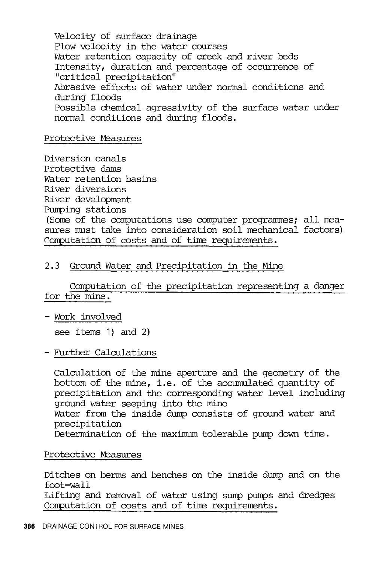Velocity of surface drainage Flow velocity in the water courses Water retention capacity of creek and river beds Intensity, duration and percentage of occurrence of "critical precipitation" Abrasive effects of water under normal conditions and during floods Possible chemical agressivity of the surface water under normal conditions and during floods.

#### Protective Measures

Diversion canals Protective dams Water retention basins River diversions River development Pumping stations (Some of the computations use computer programmes; all measures must take into consideration soil mechanical factors) Computation of costs and of time requirements.

#### 2.3 Ground Water and Precipitation in the Mine

Computation of the precipitation representing a danger for the mine.

- Work involved

see items 1) and 2)

#### - Further Calculations

Calculation of the mine aperture and the geometry of the bottom of the mine, i.e. of the accumulated quantity of precipitation and the corresponding water level including ground water seeping into the mine Water from the inside dump consists of ground water and precipitation Determination of the maximum tolerable pump down time.

#### Protective Measures

Ditches on berms and benches on the inside dump and on the foot-wall Lifting and rennval of water using sump pumps and dredges Computation of costs and of time requirements.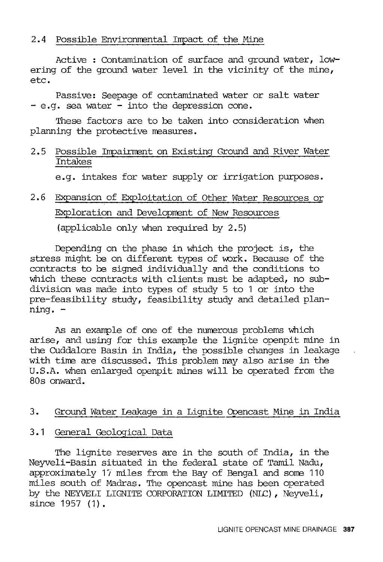#### 2.4 Possible Environmental Impact of the Mine

Active : Contamination of surface and ground water, lowering of the ground water level in the vicinity of the mine, etc.

Passive: Seepage of contaminated water or salt water - e.g. sea water - into the depression cone.

These factors are to be taken into consideration when planning the protective neasures.

#### 2.5 Possible Impairment on Existing Ground and River Water Intakes

e.g. intakes for water supply or irrigation purposes.

### 2.6 Expansion of Exploitation of Other Water Resources or Exploration and Development of New Resources (applicable only when required by 2.5)

Depending on the phase in which the project is, the stress might be on different types of work. Because of the contracts to be signed individually and the conditions to which these contracts with clients must be adapted, no subdivision was made into types of study 5 to 1 or into the pre-feasibility study, feasibility study and detailed planning. -

As an example of one of the numerous problems which arise, and using for this example the lignite openpit mine in the CUddalore Basin in India, the possible changes in leakage with tine are discussed. This problem may also arise in the U.S.A. when enlarged openpit mines will be operated from the 80s onward.

#### 3. Ground Water Leakage in a Lignite Opencast Mine in India

#### 3.1 General Geological Data

The lignite reserves are in the south of India, in the Neyveli-Basin situated in the federal state of Tamil Nadu, approximately 17 miles from the Bay of Bengal and some 110 miles south of Madras. The opencast mine has been operated by the NEYVELI LIGNITE CORPORATION LIMITED (NLC) , Neyveli, since 1957 (1).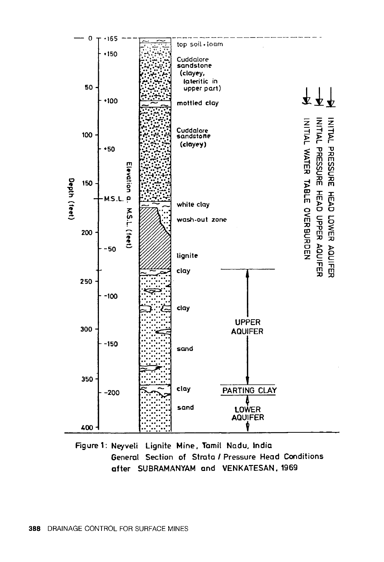

Figure 1: Neyveli Lignite Mine, Tamil Na du, India General Section of Strata I Pressure Head Conditions after SUBRAMANYAM and VENKATESAN. 1969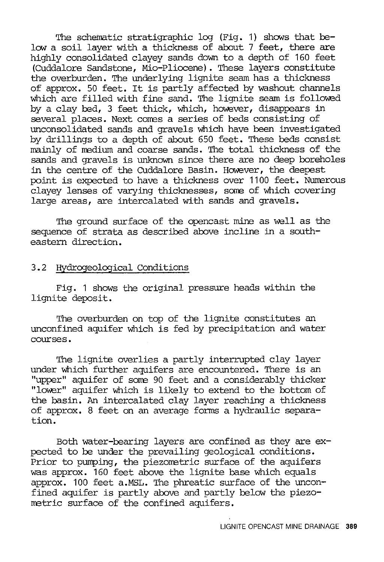The schematic stratigraphic log (Fig. 1) shows that below a soil layer with a thickness of about 7 feet, there are highly consolidated clayey sands down to a depth of 160 feet (CUddalore Sandstone, Mio-Pliocene). These layers constitute the overburden. The underlying lignite seam has a thickness of approx. 50 feet. It is partly affected by washout channels which are filled with fine sand. The lignite seam is followed by a clay bed, 3 feet thick, which, however, disappears in several places. Next comes a series of beds consisting of unconsolidated sands and gravels which have been investigated by drillings to a depth of about 650 feet. These beds consist mainly of medium and coarse sands. The total thickness of the sands and gravels is unknown since there are no deep boreholes in the centre of the CUddalore Basin. However, the deepest point is expected to have a thickness over 1100 feet. Numerous clayey lenses of varying thicknesses, some of which covering large areas, are intercalated with sands and gravels.

The ground surface of the opencast mine as well as the sequence of strata as described above incline in a southeastern direction.

#### 3.2 Hydrogeological Conditions

Fig. 1 shows the original pressure heads within the lignite deposit.

The overburden on top of the lignite constitutes an unconfined aquifer which is fed by precipitation and water courses.

The lignite overlies a partly interrupted clay layer under which further aquifers are encountered. There is an "upper" aquifer of some 90 feet and a considerably thicker "lower" aquifer which is likely to extend to the bottom of the basin. An intercalated clay layer reaching a thickness of approx. 8 feet on an average forms a hydraulic separation.

Both water-bearing layers are confined as they are expected to be under the prevailing geological conditions. Prior to pumping, the piezometric surface of the aquifers was approx. 160 feet above the lignite base which equals approx. 100 feet a.MSL. The phreatic surface of the unconfined aquifer is partly above and partly below the piezometric surface of the confined aquifers.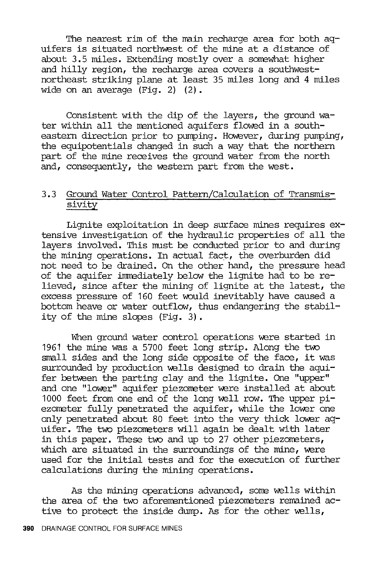The nearest rim of the nain recharge area for both aquifers is situated northwest of the mine at a distance of about 3.5 miles. Extending mostly over a somewhat higher and hilly region, the recharge area covers a southwestnortheast striking plane at least 35 miles long and 4 miles wide on an average (Fig. 2) (2).

Consistent with the dip of the layers, the ground water within all the mentioned aquifers flowed in a southeastern direction prior to pumping. However, during pumping, the equipotentials changed in such a way that the northern part of the mine receives the ground water from the north and, consequently, the western part from the west.

#### 3.3 Ground Water Control Pattern/Calculation of Transmissivity

Lignite exploitation in deep surface mines requires extensive investigation of the hydraulic properties of all the layers involved. This must be conducted prior to and during the mining operations. In actual fact, the overburden did not need to be drained. On the other hand, the pressure head of the aquifer immediately below the lignite had to be relieved, since after the mining of lignite at the latest, the excess pressure of 160 feet would inevitably have caused a bottom heave or water outflow, thus endangering the stability of the mine slopes (Fig. 3).

When ground water control operations were started in 1961 the mine was a 5700 feet long strip. Along the two snall sides and the long side opposite of the face, it was surrounded by production wells designed to drain the aquifer between the parting clay and the lignite. One "upper" and one "lower" aquifer piezometer were installed at about 1000 feet from one end of the long well row. The upper  $pi$ ezometer fully penetrated the aquifer, while the lower one only penetrated about 80 feet into the very thick lower aquifer. The two piezometers will again be dealt with later in this paper. These two and up to 27 other piezometers, which are situated in the surroundings of the mine, were used for the initial tests and for the execution of further calculations during the mining operations.

As the mining operations advanced, some wells within the area of the two aforementioned piezometers remained  $ac$ tive to protect the inside dump. As for the other wells,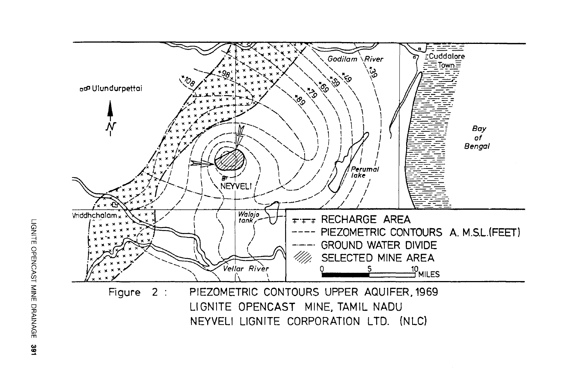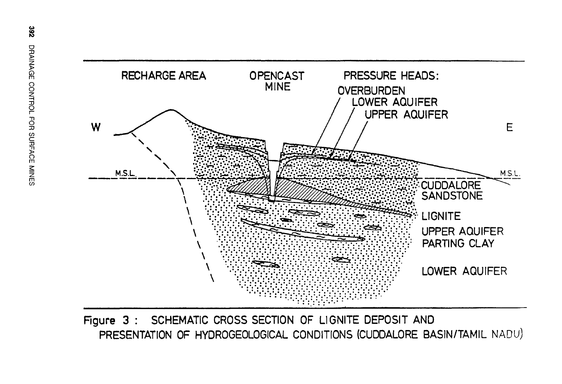

Figure 3 : SCHEMATIC CROSS SECTION OF LIGNITE DEPOSIT AND PRESENTATION OF HYDROGEOLOGICAL CONDITIONS (CUDDALORE BASIN/TAMIL NADU)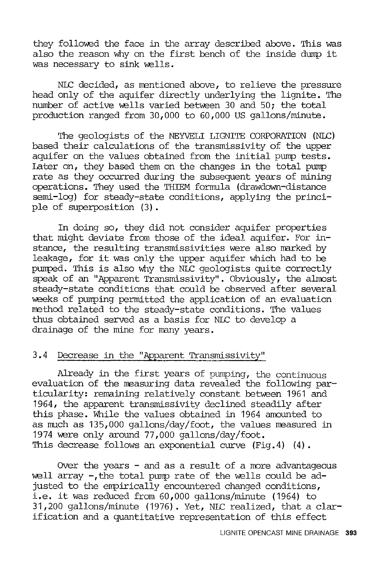they followed the face in the array described above. This was also the reason why on the first bench of the inside dump it was necessary to sink wells.

NLC decided, as mentioned above, to relieve the pressure head only of the aquifer directly underlying the lignite. The number of active wells varied between 30 and 50; the total production ranged from 30,000 to 60,000 US gallons/minute.

The geologists of the NEYVELI LIGNITE CORPORATION (NLC) based their calculations of the transmissivity of the upper aquifer on the values obtained from the initial punp tests. Later on, they based them on the changes in the total pump rate as they occurred during the subsequent years of mining operations. They used the THIEM formula (drawdown-distance semi-log) for steady-state conditions, applying the principle of superposition (3).

In doing so, they did not consider aquifer properties that might deviate from those of the ideal aquifer. For instance, the resulting transmissivities were also marked by leakage, for it was only the upper aquifer which had to be pumped. This is also why the NLC geologists quite correctly speak of an "Apparent Transmissivity". Obviously, the almost steady-state conditions that could be observed after several weeks of pumping permitted the application of an evaluation method related to the steady-state conditions. The values thus obtained served as a basis for NLC to develop a drainage of the mine for many years.

#### 3.4 Decrease in the "Apparent Transmissivity"

Already in the first years of pumping, the continuous evaluation of the measuring data revealed the following particularity: remaining relatively constant between 1961 and 1964, the apparent transmissivity declined steadily after this phase. While the values obtained in 1964 amounted to as much as  $135,000$  gallons/day/foot, the values measured in 1974 were only around 77,000 gallons/day/foot. This decrease follows an exponential curve (Fig. 4) (4).

Over the years  $-$  and as a result of a more advantageous well array  $-$ , the total pump rate of the wells could be adjusted to the empirically encountered changed conditions, i.e. it was reduced from 60,000 gallons/minute (1964) to 31,200 gallons/minute (1976). Yet, NLC realized, that a clarification and a quantitative representation of this effect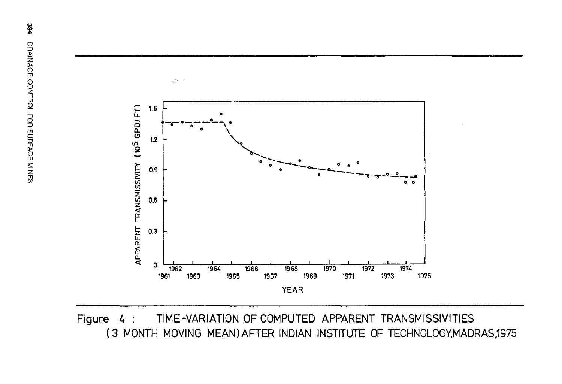

Figure 4 : TIME-VARIATION OF COMPUTED APPARENT TRANSMISSIVITIES ( 3 MONTH MOVING MEAN) AFTER INDIAN INSTITUTE OF TECHNOLOGY,MADRAS,1975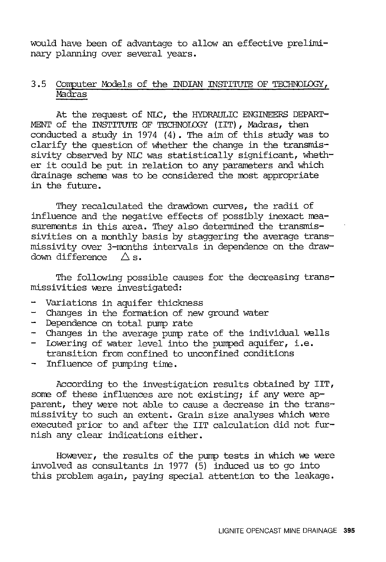would have been of advantage to allow an effective preliminary planning over several years.

#### 3.5 Computer Models of the INDIAN INSTITUTE OF TECHNOLOGY, Madras

At the request of NLC, the HYDRAULIC ENGINEERS DEPART-MENT of the INSTITUTE OF TECHNOLOGY (IIT), Madras, then conducted a study in 1974 (4). The aim of this study was to clarify the question of whether the change in the transmissivity observed by NLC was statistically significant, whether it could be put in relation to any parameters and which drainage scheme was to be considered the most appropriate in the future.

They recalculated the drawdown curves, the radii of influence and the negative effects of possibly inexact measurements in this area. They also determined the transmissivities on a monthly basis by staggering the average transmissivity over 3-months intervals in dependence on the draw-<br>down difference  $\bigwedge$  s. down difference

The following possible causes for the decreasing transmissivities were investigated:

- Variations in aquifer thickness<br>- Changes in the formation of new
- Changes in the formation of new ground water
- Dependence on total pump rate
- Changes in the average pump rate of the individual wells
- Lowering of water level into the pumped aquifer, i.e. transition from confined to unconfined conditions
- Influence of pumping time.

According to the investigation results obtained by IIT, some of these influences are not existing; if any were apparent, they were not able to cause a decrease in the transmissivity to such an extent. Grain size analyses which were executed prior to and after the IIT calculation did not furnish any clear indications either.

However, the results of the pump tests in which we were involved as consultants in 1977 (5) induced us to go into this problem again, paying special attention to the leakage.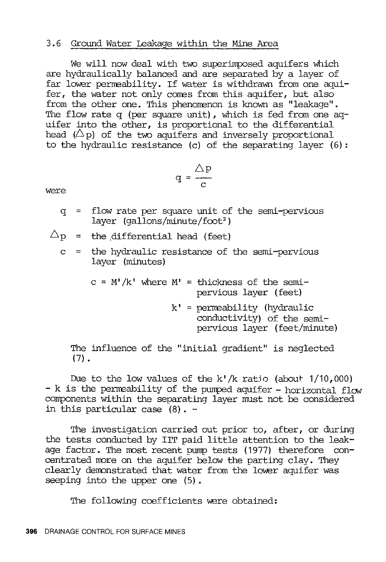#### 3.6 Ground Water Leakage within the Mine Area

We will now deal with two superimposed aquifers which are hydraulically balanced and are separated by a layer of far lower permeability. If water is withdrawn from one aquifer, the water not only comes from this aquifer, but also from the other one. This phenomenon is known as "leakage". The flow rate q (per square unit), which is fed from one aquifer into the other, is proportional to the differential head  $(\triangle p)$  of the two aquifers and inversely proportional to the hydraulic resistance (c) of the separating layer (6):

$$
q = \frac{\triangle p}{c}
$$

were

q = flow rate per square unit of the semi-pervious layer (qallons/minute/foot<sup>2</sup>)

$$
\triangle_{\mathrm{P}} \hspace{2mm} = \hspace{2mm} \text{the differential head (feet)}
$$

c = the hydraulic resistance of the semi-pervious layer (minutes)

> $c = M'/k'$  where  $M' =$  thickness of the semipervious layer (feet)

> > $k'$  = permeability (hydraulic conductivity) of the semipervious layer (feet/minute)

The influence of the "initial gradient" is neglected  $(7)$ .

Due to the low values of the k'/k ratio (about 1/10,000) - k is the permeability of the pumped aquifer - horizontal flow corrponents within the separating layer must not be considered in this particular case (8) . -

The investigation carried out prior to, after, or during the tests conducted by IIT paid little attention to the leakage factor. The most recent pump tests (1977) therefore concentrated more on the aquifer below the parting clay. They clearly demonstrated that water from the lower aquifer was seeping into the upper one (5).

The following coefficients were obtained: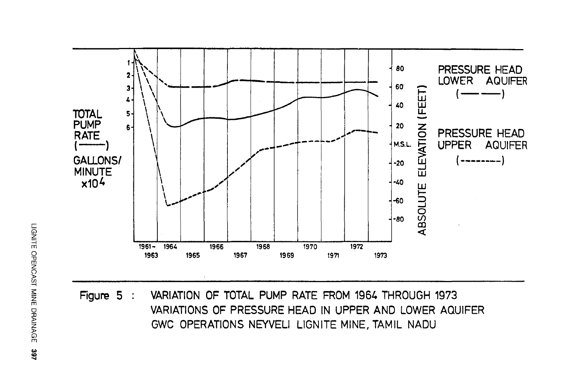

Figure 5 : VARIATION OF TOTAL PUMP RATE FROM 1964 THROUGH 1973 VARIATIONS OF PRESSURE HEAD IN UPPER AND LOWER AQUIFER GWC OPERATIONS NEYVELI LIGNITE MINE, TAMIL NADU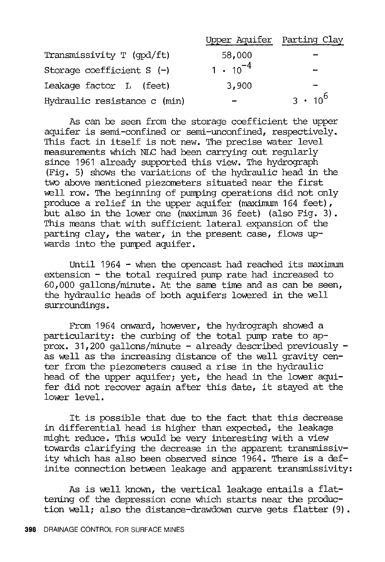|                              | Upper Aquifer Parting Clay |                          |
|------------------------------|----------------------------|--------------------------|
| Transmissivity T (qpd/ft)    | 58,000                     | $\overline{\phantom{a}}$ |
| Storage coefficient $S$ (-)  | $1 \cdot 10^{-4}$          | -                        |
| Leakage factor L (feet)      | 3,900                      | $\overline{\phantom{0}}$ |
| Hydraulic resistance c (min) |                            | $3 \cdot 10^{6}$         |

As can be seen from the storage coefficient the upper aquifer is semi-confined or semi-unconfined, respectively. This fact in itself is not new. The precise water level measurements which NLC had been carrying out regularly since 1961 already supported this view. The hydrograph (Fig. 5) shows the variations of the hydraulic head in the two above mentioned piezometers situated near the first well row. The beginning of pumping operations did not only produce a relief in the upper aquifer (maximum 164 feet), but also in the lower one (maximum 36 feet) (also Fig. 3). This means that with sufficient lateral expansion of the parting clay, the water, in the present case, flows upwards into the pumped aquifer.

Until 1964 - when the opencast had reached its maximum  $extension - the total required pump rate had increased to$  $60,000$  gallons/minute. At the same time and as can be seen, the hydraulic heads of both aquifers lowered in the well surroundings.

From 1964 onward, however, the hydrograph showed a particularity: the curbing of the total pump rate to approx. 31,200 gallons/minute - already described previously as well as the increasing distance of the well gravity center from the piezometers caused a rise in the hydraulic head of the upper aquifer; yet, the head in the lower aquifer did not recover again after this date, it stayed at the lower level.

It is possible that due to the fact that this decrease in differential head is higher than expected, the leakage might reduce. This would be very interesting with a view towards clarifying the decrease in the apparent transmissivity which has also been observed since 1964. There is a definite connection between leakage and apparent transmissivity:

As is well known, the vertical leakage entails a flattening of the depression cone which starts near the production well; also the distance-drawdown curve gets flatter (9).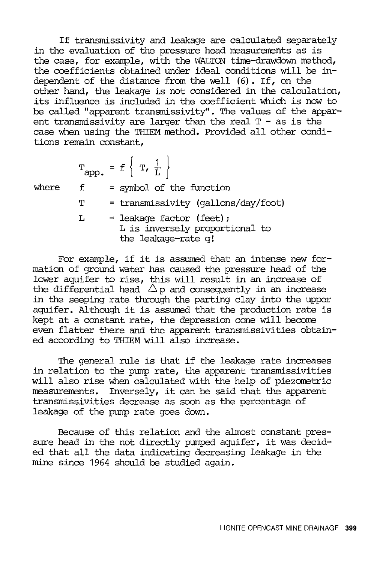If transmissivity and leakage are calculated separately in the evaluation of the pressure head measurements as is the case, for example, with the WALTON time-drawdown method, the coefficients obtained under ideal conditions will be independent of the distance from the well  $(6)$ . If, on the other hand, the leakage is not considered in the calculation, its influence is included in the coefficient which is now to be called "apparent transmissivity". The values of the apparent transmissivity are larger than the real  $T -$  as is the case when using the THIEM method. Provided all other conditions remain constant,

 $T_{app.}$  = f  $\left\{ T, \frac{1}{L} \right\}$ where  $f =$  symbol of the function T = transmissivity (gallons/day/foot)  $L =$  leakage factor (feet); L is inversely proportional to the leakage-rate q!

For example, if it is assumed that an intense new formation of ground water has caused the pressure head of the lower aquifer to rise, this will result in an increase of the differential head  $\Delta$  p and consequently in an increase in the seeping rate through the parting clay into the upper aquifer. Although it is assumed that the production rate is kept at a constant rate, the depression cone will become even flatter there and the apparent transmissivities obtained according to THIEM will also increase.

The general rule is that if the leakage rate increases in relation to the pump rate, the apparent transmissivities will also rise when calculated with the help of piezometric measurements. Inversely, it can be said that the apparent transmissivities decrease as soon as the percentage of leakage of the pump rate goes down.

Because of this relation and the almost constant pressure head in the not directly pumped aquifer, it was decided that all the data indicating decreasing leakage in the mine since 1964 should be studied again.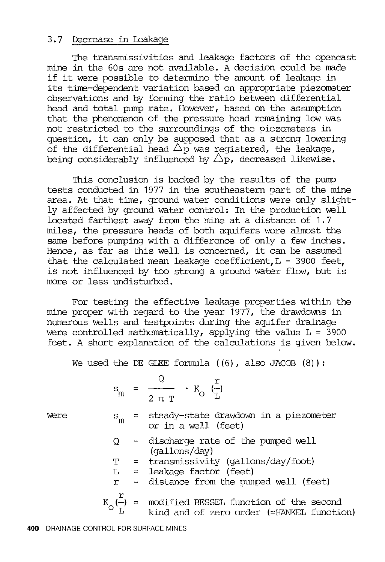#### 3.7 Decrease in Leakage

The transmissivities and leakage factors of the opencast mine in the 60s are not available. A decision could be made if it were possible to determine the amount of leakage in its time-dependent variation based on appropriate piezometer observations and by forming the ratio between differential head and total pwnp rate. However, based on the assumption that the phenorrenon of the pressure head remaining low was not restricted to the surroundings of the piezometers in question, it can only be supposed that as a strong lowering of the differential head  $\Delta_{\mathcal{P}}$  was registered, the leakage, being considerably influenced by  $\triangle$ p, decreased likewise.

This conclusion is backed by the results of the pump tests conducted in 1977 in the southeastern part of the mine area. At that time, ground water conditions were only slightly affected by ground water control: In the production well located farthest away from the mine at a distance of 1.7 miles, the pressure heads of both aquifers were almost the same before pumping with a difference of only a few inches. Hence, as far as this well is concerned, it can be assumed that the calculated mean leakage coefficient,  $L = 3900$  feet. is not influenced by too strong a ground water flow, but is more or less undisturbed.

For testing the effective leakage properties within the mine proper with regard to the year 1977, the drawdowns in numerous wells and testpoints during the aquifer drainage were controlled mathematically, applying the value  $L = 3900$ feet. A short explanation of the calculations is given below.

We used the DE GLEE formula  $((6)$ , also JACOB  $(8)$ ):

$$
\mathbf{s}_{\mathbf{m}} = \frac{Q}{2 \pi \mathbf{T}} \cdot \mathbf{K}_{\mathbf{O}} \left( \frac{\mathbf{r}}{\mathbf{L}} \right)
$$

were

- steady-state drawdown in a piezometer  $\equiv$  $S_{m}$ or in a well (feet)
- $Q =$  discharge rate of the pumped well (gallons/day)

T transrnissivity (gallons/day/foot)

 $L =$  leakage factor (feet)

 $r =$  distance from the pumped well (feet)

$$
K_{\text{O}}\left(\frac{1}{L}\right)
$$
 = modified BESSEL function of the second  
1 kind and of zero order (=HANKEL function)

r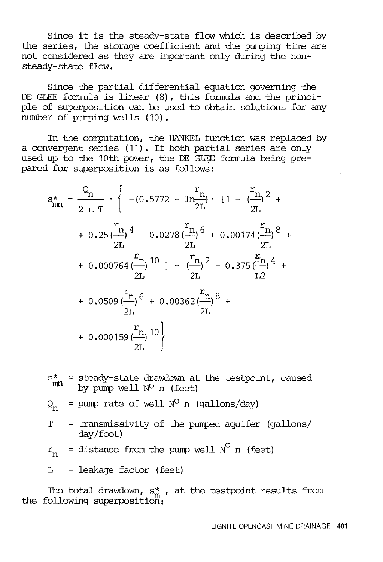Since it is the steady-state flow which is described by the series, the storage coefficient and the pumping time are not considered as they are important only during the nonsteady-state flow.

Since the partial differential equation governing the DE GLEE formula is linear (8), this formula and the principle of superposition can be used to obtain solutions for any number of pumping wells (10).

In the computation, the HANKEL function was replaced by a convergent series (11). If both partial series are only used up to the 10th power, the DE GLEE formula being prepared for superposition is as follows:

$$
s_{mn}^{*} = \frac{Q_{n}}{2 \pi T} \cdot \left\{ - (0.5772 + 1n_{\frac{P_{1}}{2L}})^{2} \cdot [1 + (\frac{r_{n}}{2L})^{2} + (0.25(\frac{r_{n}}{2L})^{4} + 0.0278(\frac{r_{n}}{2L})^{6} + 0.00174(\frac{r_{n}}{2L})^{8} + (0.000764(\frac{r_{n}}{2L})^{10}) + (\frac{r_{n}}{2L})^{2} + 0.375(\frac{r_{n}}{2L})^{4} + (0.0509(\frac{r_{n}}{2L})^{6} + 0.00362(\frac{r_{n}}{2L})^{8} + (0.000159(\frac{r_{n}}{2L})^{10})^{10} \right\}
$$

$$
s_{mn}^*
$$
 = steady-state drawdown at the testpoint, caused by pump well  $N^O$  n (feet) \n $Q_n$  = pump rate of well  $N^O$  n (gallons/day) \nT = transmissivity of the pumped aquifer (gallons / day/foot) \n $r_n$  = distance from the pump well  $N^O$  n (feet) \n $L$  = leakage factor (feet)

The total drawdown,  $s_m^*$  , at the testpoint results from the following superposition: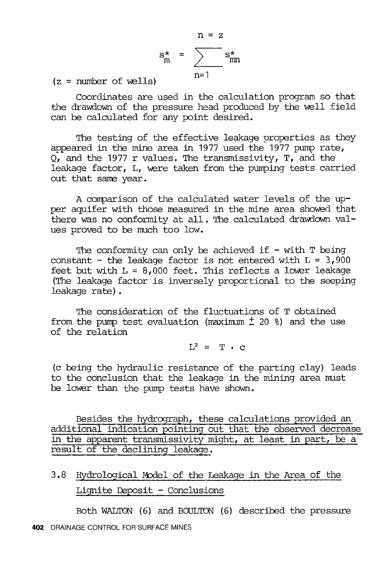$$
n = z
$$
  
\n
$$
s_m^* = \sum_{n=1}^{n} s_{mn}^*
$$

 $(z = number of wells)$ 

Coordinates are used in the calculation program so that the drawdown of the pressure head produced by the well field can be calculated for any point desired.

The testing of the effective leakage properties as they appeared in the mine area in 1977 used the 1977 pump rate,  $Q$ , and the 1977 r values. The transmissivity, T, and the leakage factor, L, were taken from the pumping tests carried out that same year.

A comparison of the calculated water levels of the upper aquifer with those measured in the mine area showed that there was no conformity at all. The calculated drawdown values proved to be much too low.

The conformity can only be achieved if  $-$  with  $T$  being constant - the leakage factor is not entered with  $L = 3,900$ feet but with  $L = 8,000$  feet. This reflects a lower leakage (The leakage factor is inversely proportional to the seeping leakage rate) .

The consideration of the fluctuations of T obtained from the pump test evaluation (maximum  $\pm$  20 %) and the use of the relation

 $L^2 = T \cdot C$ 

(c being the hydraulic resistance of the parting clay) leads to the conclusion that the leakage in the mining area must be lower than the pump tests have shown.

Besides the hydrograph, these calculations provided an additional indication pointing out that the observed decrease in the apparent transrnissivity might, at least in part, be a result of the declining leakage.

3.8 Hydrological Model of the Leakage in the Area of the Lignite Deposit  $-$  Conclusions

Both WALTON' (6) and BOULTON' (6) described the pressure **402** DRAINAGE CONTROL FOR SURFACE MINES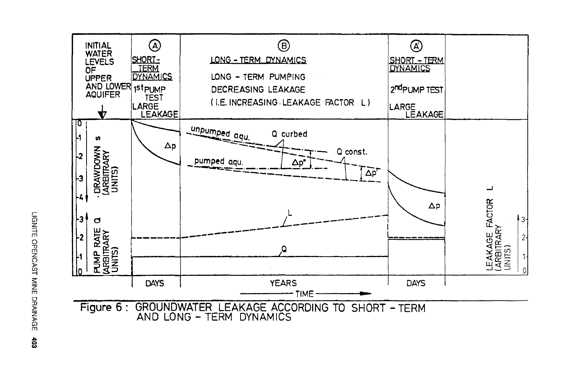

LIGNITE OPENCA ~ ~ z rn 0 JJ )> z  $\mathbb{R}^-$ .... fl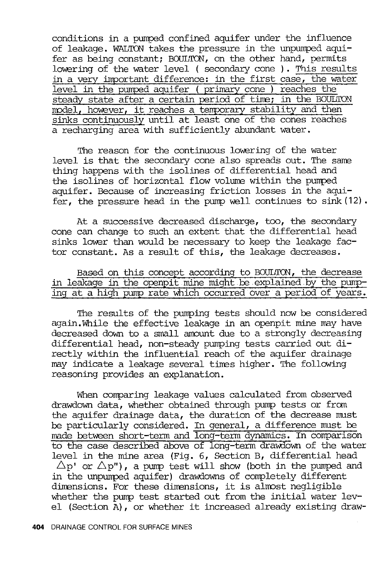conditions in a pumped confined aquifer under the influence of leakage. WALTON takes the pressure in the unpumped aquifer as being constant; BOULTON, on the other hand, permits lowering of the water level ( secondary cone ). This results in a very important difference: in the first case, the water level in the pumped aquifer ( primary cone ) reaches the steady state after a certain period of tine; in the BOULTON ready state after a certain period of they in the books sinks continuously until at least one of the cones reaches a recharging area with sufficiently abundant water.

The reason for the continuous lowering of the water level is that the secondary cone also spreads out. The same thing happens with the isolines of differential head and the isolines of horizontal flow volume within the pumped aquifer. Because of increasing friction losses in the aquifer, the pressure head in the pump well continues to sink (12).

At a successive decreased discharge, too, the secondary cone can change to such an extent that the differential head sinks lower than would be necessary to keep the leakage factor constant. As a result of this, the leakage decreases.

Based on this concept according to BOULTON, the decrease in leakage in the openpit mine might.be explained by the pwnping at a high pump rate which occurred over a period of years.

The results of the pumping tests should now be considered again.While the effective leakage in an openpit mine may have decreased down to a small amount due to a strongly decreasing differential head, non-steady pumping tests carried out directly within the influential reach of the aquifer drainage may indicate a leakage several tines higher. The following reasoning provides an explanation.

When comparing leakage values calculated from observed drawdown data, whether obtained through pump tests or from the aquifer drainage data, the duration of the decrease must be particularly considered. In general, a difference must be made between short-term and long-term dynamics. In comparison to the case described above of long-term drawdown of the water level in the mine area (Fig. 6, Section B, differential head  $\Delta p'$  or  $\Delta p''$ ), a pump test will show (both in the pumped and in the unpurrped aquifer) drawdowns of completely different dimensions. For these dimensions, it is almost negligible whether the pump test started out from the initial water level (Section A), or whether it increased already existing draw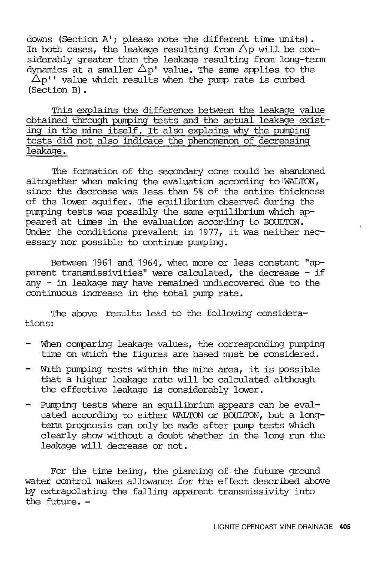downs (Section A'; please note the different time units). In both cases, the leakage resulting from  $\triangle$ p will be considerably greater than the leakage resulting from long-term dynamics at a smaller  $\Delta p'$  value. The same applies to the  $\Delta p''$  value which results when the pump rate is curbed (Section B) •

This explains the difference between the leakage value obtained through pumping tests and the actual leakage existing in the mine itself. It also explains why the pumping tests did not also indicate the phenomenon of decreasing leakage.

The formation of the secondary cone could be abandoned altogether when making the evaluation according to WALTON, since the decrease was less than 5% of the entire thickness of the lower aquifer. The equilibrium observed during the pumping tests was possibly the same equilibrium which appeared at tines in the evaluation according to BOULTON. Under the conditions prevalent in 1977, it was neither necessary nor possible to continue pumping.

Between 1961 and 1964, when more or less constant "apparent transmissivities" were calculated, the decrease - if any - in leakage may have remained undiscovered due to the continuous increase in the total pump rate.

The above results lead to the following considerations:

- When comparing leakage values, the corresponding pumping tine on which the figures are based must be considered.
- With pumping tests within the mine area, it is possible that a higher leakage rate will be calculated although the effective leakage is considerably lower.
- Pumping tests where an equilibrium appears can be evaluated according to either WALTON or BOULTON, but a longterm prognosis can only be made after pump tests which clearly show without a doubt whether in the long run the leakage will decrease or not.

For the time being, the planning of the future ground water control makes allowance for the effect described above by extrapolating the falling apparent transmissivity into the future. -

 $\dot{I}$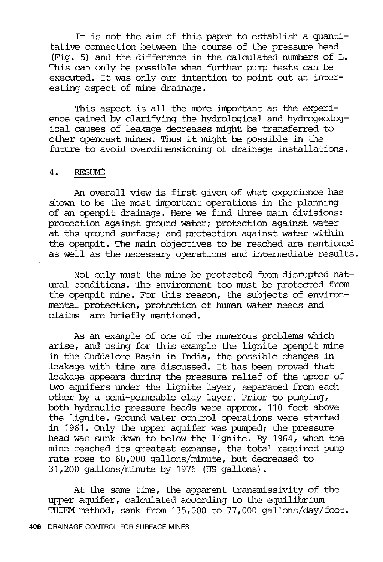It is not the aim of this paper to establish a quantitative connection between the course of the pressure head (Fig. 5) and the difference in the calculated numbers of L. This can only be possible when further pump tests can be executed. It was only our intention to point out an interesting aspect of mine drainage.

This aspect is all the more important as the experience gained by clarifying the hydrological and hydrogeological causes of leakage decreases might be transferred to other opencast mines. Thus it might be possilile in the future to avoid overdimensioning of drainage installations.

#### 4. RESUME:

An overall view is first given of what experience has shown to be the most important operations in the planning of an openpit drainage. Here we find three main divisions: protection against ground water; protection against water at the ground surface; and protection against water within the openpit. The main objectives to be reached are mentioned as well as the necessary operations and intermediate results.

Not only must the mine be protected from disrupted natural conditions. The environment too must be protected from the openpit mine. For this reason, the subjects of environmental protection, protection of human water needs and claims are briefly mentioned.

As an example of one of the numerous problems which arise, and using for this exanple the lignite openpit mine in the Cuddalore Basin in India, the possible changes in leakage with time are discussed. It has been proved that leakage appears during the pressure relief of the upper of two aquifers under the lignite layer, separated from each other by a semi-perrreable clay layer. Prior to pumping, both hydraulic pressure heads were approx. 110 feet above the lignite. Ground water control operations were started in 1961. Only the upper aquifer was pumped; the pressure head was sunk down to below the lignite. By 1964, when the mine reached its greatest expanse, the total required pump rate rose to 60,000 gallons/minute, but decreased to 31,200 gallons/minute by 1976 (US gallons).

At the same time, the apparent transmissivity of the upper aquifer, calculated according to the equilibrium THIEM method, sank from 135,000 to 77,000 gallons/day/foot.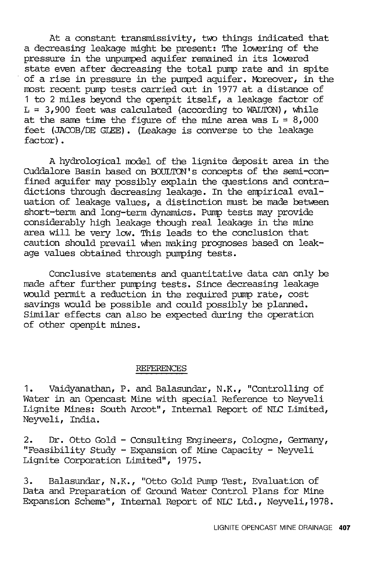At a constant transmissivity, two things indicated that a decreasing leakage might be present: The lowering of the pressure in the unpumped aquifer remained in its lowered state even after decreasing the total pump rate and in spite of a rise in pressure in the pumped aquifer. Moreover, in the most recent pump tests carried out in 1977 at a distance of <sup>1</sup>to 2 miles beyond the openpit itself, a leakage factor of  $L = 3,900$  feet was calculated (according to WALTON), while at the same time the figure of the mine area was  $L = 8,000$ feet (JACOB/DE GLEE). (Leakage is converse to the leakage factor).

A hydrological model of the lignite deposit area in the CUddalore Basin based on BOULTON''s concepts of the semi-confined aquifer may possibly explain the questions and contradictions through decreasing leakage. In the empirical evaluation of leakage values, a distinction must be made between short-term and long-term dynamics. Pump tests may provide considerably high leakage though real leakage in the mine area will be very low. This leads to the conclusion that caution should prevail when making prognoses based on leakage values obtained through pumping tests.

Conclusive statements and quantitative data can only be made after further pumping tests. Since decreasing leakage would permit a reduction in the required pump rate, cost savings would be possible and could possibly be planned. Similar effects can also be expected during the operation of other openpit mines.

#### REFERENCES

1. Vaidyanathan, P. and Balasundar, N.K., "Controlling of Water in an Opencast Mine with special Reference to Neyveli Lignite Mines: South Arcot", Internal Report of NLC Limited, Neyveli, India.

2. Dr. Otto Gold - Consulting Engineers, Cologne, Germany, "Feasibility Study - Expansion of Mine Capacity - Neyveli Lignite Corporation Limited", 1975.

3. Balasundar, N.K., "Otto Gold Pump Test, Evaluation of Data and Preparation of Ground Water Control Plans for Mine Expansion Scheme", Internal Report of NLC Ltd., Neyveli, 1978.